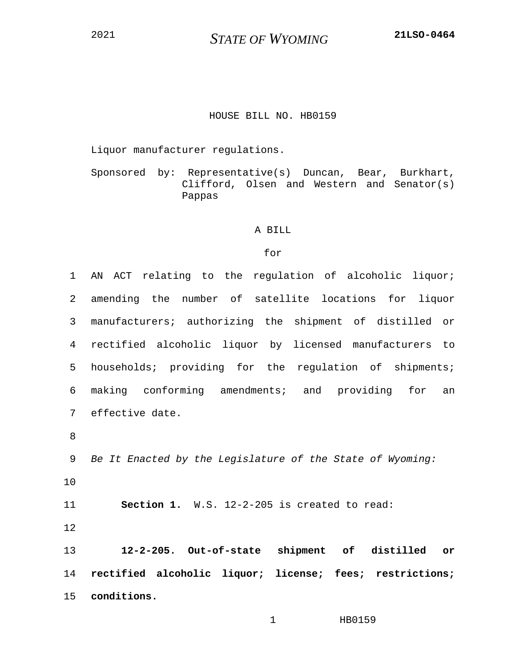<sup>2021</sup> *STATE OF WYOMING* **21LSO-0464**

## HOUSE BILL NO. HB0159

Liquor manufacturer regulations.

Sponsored by: Representative(s) Duncan, Bear, Burkhart, Clifford, Olsen and Western and Senator(s) Pappas

## A BILL

## for

1 AN ACT relating to the regulation of alcoholic liquor; 2 amending the number of satellite locations for liquor 3 manufacturers; authorizing the shipment of distilled or 4 rectified alcoholic liquor by licensed manufacturers to 5 households; providing for the regulation of shipments; 6 making conforming amendments; and providing for an 7 effective date. 8 9 *Be It Enacted by the Legislature of the State of Wyoming:* 10 11 **Section 1.** W.S. 12-2-205 is created to read: 12 13 **12-2-205. Out-of-state shipment of distilled or**  14 **rectified alcoholic liquor; license; fees; restrictions;**  15 **conditions.**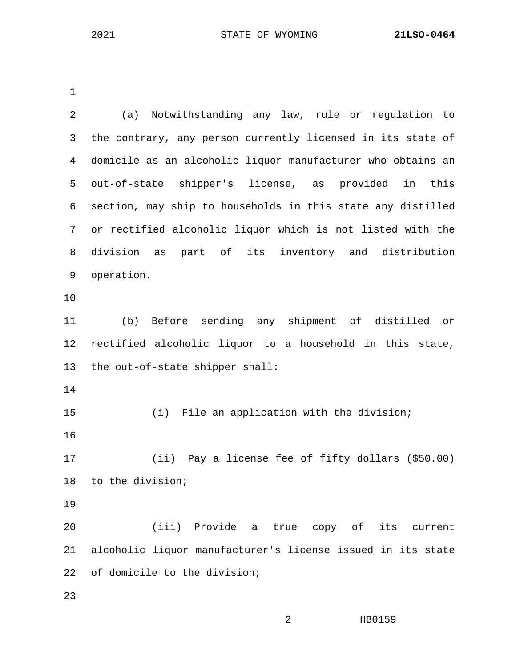1

| 2  | (a) Notwithstanding any law, rule or regulation to          |
|----|-------------------------------------------------------------|
| 3  | the contrary, any person currently licensed in its state of |
| 4  | domicile as an alcoholic liquor manufacturer who obtains an |
| 5  | out-of-state shipper's license, as provided in<br>this      |
| 6  | section, may ship to households in this state any distilled |
| 7  | or rectified alcoholic liquor which is not listed with the  |
| 8  | division as part of its inventory and distribution          |
| 9  | operation.                                                  |
| 10 |                                                             |
| 11 | (b) Before sending any shipment of distilled or             |
| 12 | rectified alcoholic liquor to a household in this state,    |
| 13 | the out-of-state shipper shall:                             |
| 14 |                                                             |
| 15 | (i) File an application with the division;                  |
| 16 |                                                             |
| 17 | (ii) Pay a license fee of fifty dollars (\$50.00)           |
| 18 | to the division;                                            |
| 19 |                                                             |
| 20 | (iii) Provide a<br>true copy of<br>its<br>current           |
| 21 | alcoholic liquor manufacturer's license issued in its state |
| 22 | of domicile to the division;                                |
| 23 |                                                             |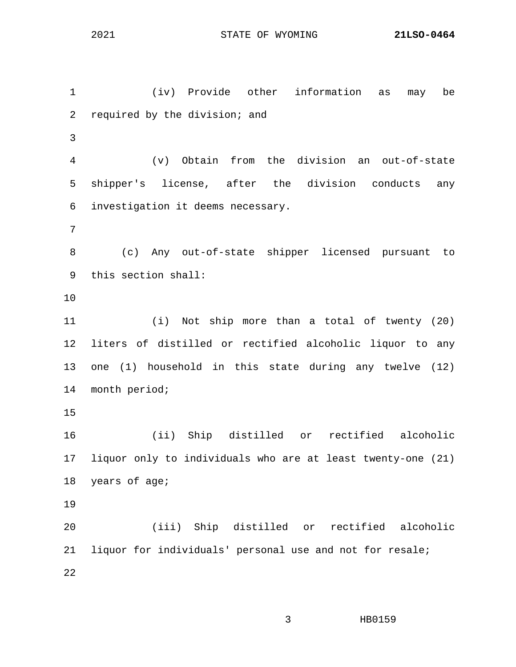1 (iv) Provide other information as may be 2 required by the division; and 3 4 (v) Obtain from the division an out-of-state 5 shipper's license, after the division conducts any 6 investigation it deems necessary. 7 8 (c) Any out-of-state shipper licensed pursuant to 9 this section shall: 10 11 (i) Not ship more than a total of twenty (20) 12 liters of distilled or rectified alcoholic liquor to any 13 one (1) household in this state during any twelve (12) 14 month period; 15 16 (ii) Ship distilled or rectified alcoholic 17 liquor only to individuals who are at least twenty-one (21) 18 years of age; 19 20 (iii) Ship distilled or rectified alcoholic 21 liquor for individuals' personal use and not for resale; 22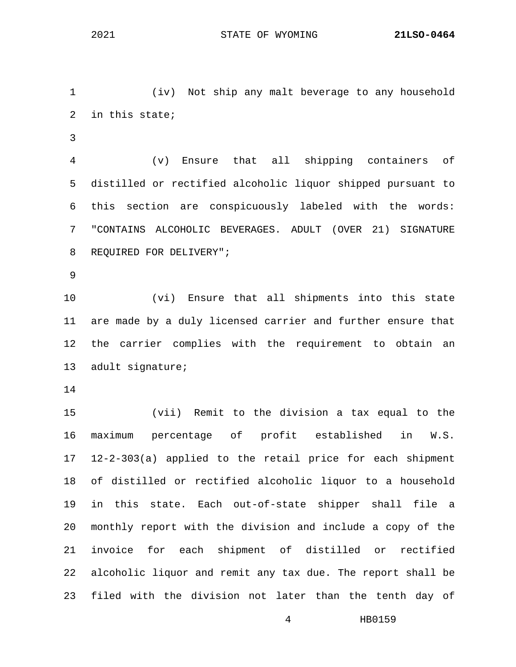1 (iv) Not ship any malt beverage to any household 2 in this state;

3

4 (v) Ensure that all shipping containers of 5 distilled or rectified alcoholic liquor shipped pursuant to 6 this section are conspicuously labeled with the words: 7 "CONTAINS ALCOHOLIC BEVERAGES. ADULT (OVER 21) SIGNATURE 8 REQUIRED FOR DELIVERY";

9

10 (vi) Ensure that all shipments into this state 11 are made by a duly licensed carrier and further ensure that 12 the carrier complies with the requirement to obtain an 13 adult signature;

14

15 (vii) Remit to the division a tax equal to the 16 maximum percentage of profit established in W.S. 17 12-2-303(a) applied to the retail price for each shipment 18 of distilled or rectified alcoholic liquor to a household 19 in this state. Each out-of-state shipper shall file a 20 monthly report with the division and include a copy of the 21 invoice for each shipment of distilled or rectified 22 alcoholic liquor and remit any tax due. The report shall be 23 filed with the division not later than the tenth day of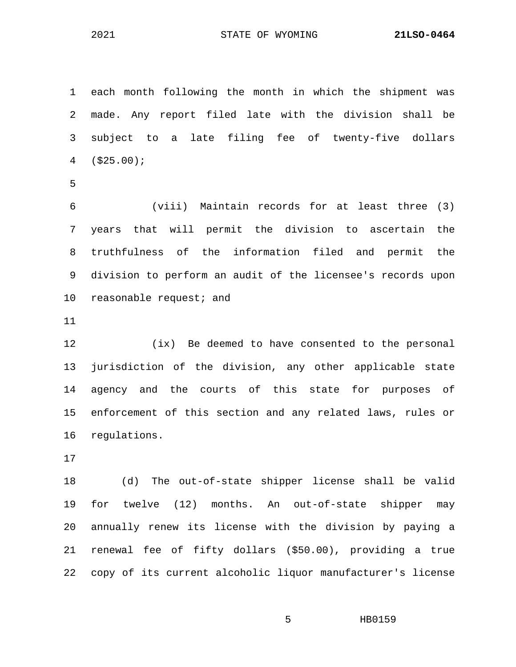2021 STATE OF WYOMING **21LSO-0464**

1 each month following the month in which the shipment was 2 made. Any report filed late with the division shall be 3 subject to a late filing fee of twenty-five dollars 4 (\$25.00); 5 6 (viii) Maintain records for at least three (3) 7 years that will permit the division to ascertain the 8 truthfulness of the information filed and permit the

9 division to perform an audit of the licensee's records upon 10 reasonable request; and

11

12 (ix) Be deemed to have consented to the personal 13 jurisdiction of the division, any other applicable state 14 agency and the courts of this state for purposes of 15 enforcement of this section and any related laws, rules or 16 regulations.

17

18 (d) The out-of-state shipper license shall be valid 19 for twelve (12) months. An out-of-state shipper may 20 annually renew its license with the division by paying a 21 renewal fee of fifty dollars (\$50.00), providing a true 22 copy of its current alcoholic liquor manufacturer's license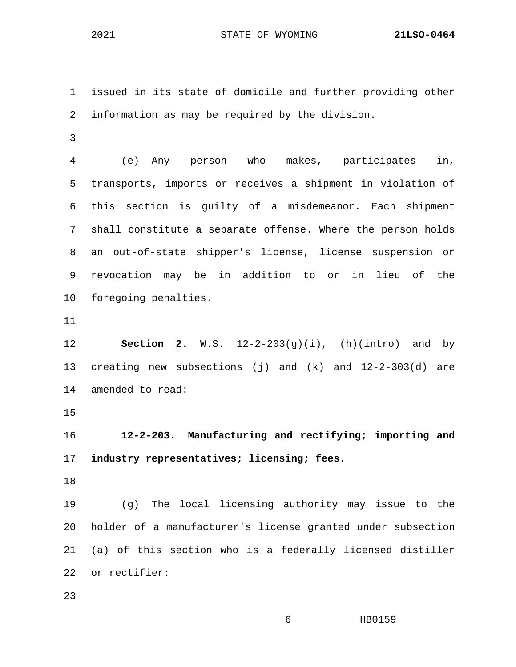2021 STATE OF WYOMING **21LSO-0464**

1 issued in its state of domicile and further providing other 2 information as may be required by the division.

3

4 (e) Any person who makes, participates in, 5 transports, imports or receives a shipment in violation of 6 this section is guilty of a misdemeanor. Each shipment 7 shall constitute a separate offense. Where the person holds 8 an out-of-state shipper's license, license suspension or 9 revocation may be in addition to or in lieu of the 10 foregoing penalties.

11

12 **Section 2.** W.S. 12-2-203(g)(i), (h)(intro) and by 13 creating new subsections (j) and (k) and 12-2-303(d) are 14 amended to read:

15

16 **12-2-203. Manufacturing and rectifying; importing and**  17 **industry representatives; licensing; fees.**

18

19 (g) The local licensing authority may issue to the 20 holder of a manufacturer's license granted under subsection 21 (a) of this section who is a federally licensed distiller 22 or rectifier:

23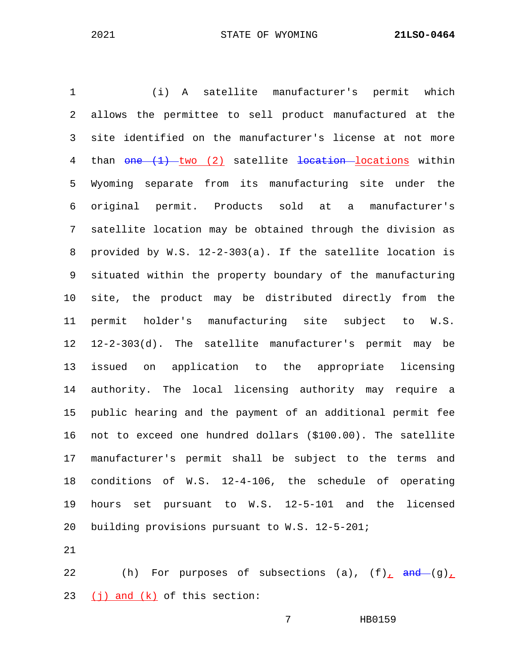1 (i) A satellite manufacturer's permit which 2 allows the permittee to sell product manufactured at the 3 site identified on the manufacturer's license at not more 4 than one (1) two (2) satellite location locations within 5 Wyoming separate from its manufacturing site under the 6 original permit. Products sold at a manufacturer's 7 satellite location may be obtained through the division as 8 provided by W.S. 12-2-303(a). If the satellite location is 9 situated within the property boundary of the manufacturing 10 site, the product may be distributed directly from the 11 permit holder's manufacturing site subject to W.S. 12 12-2-303(d). The satellite manufacturer's permit may be 13 issued on application to the appropriate licensing 14 authority. The local licensing authority may require a 15 public hearing and the payment of an additional permit fee 16 not to exceed one hundred dollars (\$100.00). The satellite 17 manufacturer's permit shall be subject to the terms and 18 conditions of W.S. 12-4-106, the schedule of operating 19 hours set pursuant to W.S. 12-5-101 and the licensed 20 building provisions pursuant to W.S. 12-5-201;

21

22 (h) For purposes of subsections (a),  $(f)$  and  $(g)$ 23  $(j)$  and  $(k)$  of this section: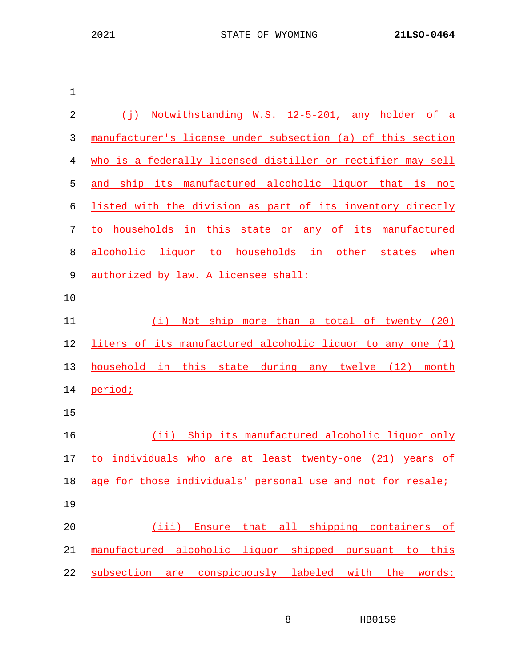| $(\dagger)$<br>Notwithstanding W.S. 12-5-201, any holder of a |
|---------------------------------------------------------------|
| manufacturer's license under subsection (a) of this section   |
| who is a federally licensed distiller or rectifier may sell   |
| and ship its manufactured alcoholic liquor that is not        |
| listed with the division as part of its inventory directly    |
| households in this state or any of its manufactured<br>to     |
| alcoholic liquor to households in other<br>states when        |
| authorized by law. A licensee shall:                          |
|                                                               |
| Not ship more than a total of twenty (20)<br>(i)              |
| liters of its manufactured alcoholic liquor to any one (1)    |
| household in this state during any twelve (12) month          |
| period;                                                       |
|                                                               |
| Ship its manufactured alcoholic liquor only<br>(iii)          |
| to individuals who are at least twenty-one (21) years of      |
| age for those individuals' personal use and not for resale;   |
|                                                               |
| Ensure that all shipping containers of<br>(iii)               |
| manufactured alcoholic liquor shipped pursuant to this        |
| subsection are conspicuously labeled with the words:          |
|                                                               |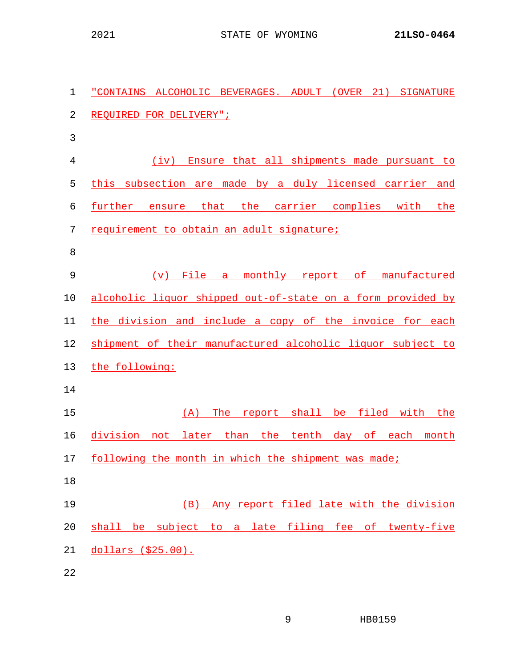| 1  | "CONTAINS ALCOHOLIC BEVERAGES. ADULT (OVER 21) SIGNATURE    |
|----|-------------------------------------------------------------|
| 2  | REQUIRED FOR DELIVERY";                                     |
| 3  |                                                             |
| 4  | (iv) Ensure that all shipments made pursuant to             |
| 5  | this subsection are made by a duly licensed carrier and     |
| 6  | ensure that the carrier complies with<br>further<br>the     |
| 7  | requirement to obtain an adult signature;                   |
| 8  |                                                             |
| 9  | (v) File a monthly report of manufactured                   |
| 10 | alcoholic liquor shipped out-of-state on a form provided by |
| 11 | the division and include a copy of the invoice for each     |
| 12 | shipment of their manufactured alcoholic liquor subject to  |
| 13 | the following:                                              |
| 14 |                                                             |
| 15 | The report shall be filed with the<br>(A)                   |
| 16 | division not later than the tenth day of each month         |
| 17 | following the month in which the shipment was made;         |
| 18 |                                                             |
| 19 | Any report filed late with the division<br>(B)              |
| 20 | shall be subject to a late filing fee of twenty-five        |
| 21 | dollars (\$25.00).                                          |
| 22 |                                                             |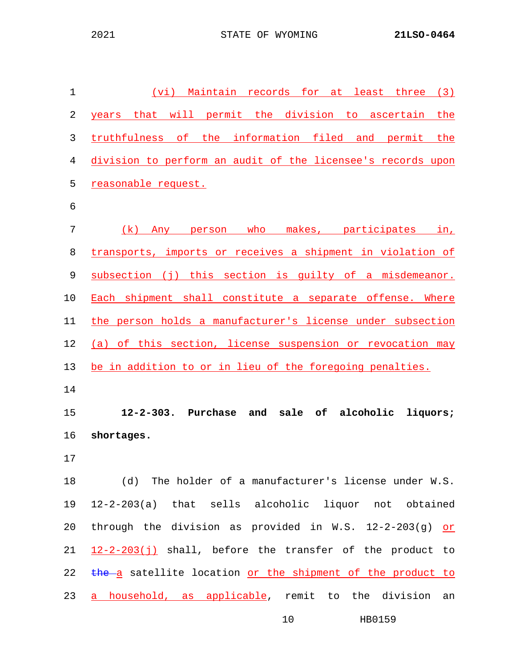| 1              | (vi) Maintain records for at least three (3)                              |
|----------------|---------------------------------------------------------------------------|
| $\overline{2}$ | that will permit the division to ascertain the<br>years                   |
| 3              | truthfulness of the information filed and permit the                      |
| 4              | division to perform an audit of the licensee's records upon               |
| 5              | reasonable request.                                                       |
| 6              |                                                                           |
| 7              | (k) Any person who makes, participates in,                                |
| 8              | transports, imports or receives a shipment in violation of                |
| 9              | subsection (j) this section is guilty of a misdemeanor.                   |
| 10             | Each shipment shall constitute a separate offense. Where                  |
| 11             | the person holds a manufacturer's license under subsection                |
| 12             | (a) of this section, license suspension or revocation may                 |
|                |                                                                           |
| 13             | be in addition to or in lieu of the foregoing penalties.                  |
| 14             |                                                                           |
| 15             | $12 - 2 - 303.$<br>Purchase<br>and<br>sale<br>alcoholic<br>liquors;<br>of |
| 16             | shortages.                                                                |
| $17$           |                                                                           |
| 18             | (d) The holder of a manufacturer's license under W.S.                     |
| 19             | 12-2-203(a) that sells alcoholic liquor not obtained                      |
| 20             | through the division as provided in W.S. $12-2-203(g)$ or                 |
| 21             | $12-2-203(j)$ shall, before the transfer of the product to                |
| 22             | the a satellite location or the shipment of the product to                |
| 23             | a household, as applicable, remit to the division<br>an                   |